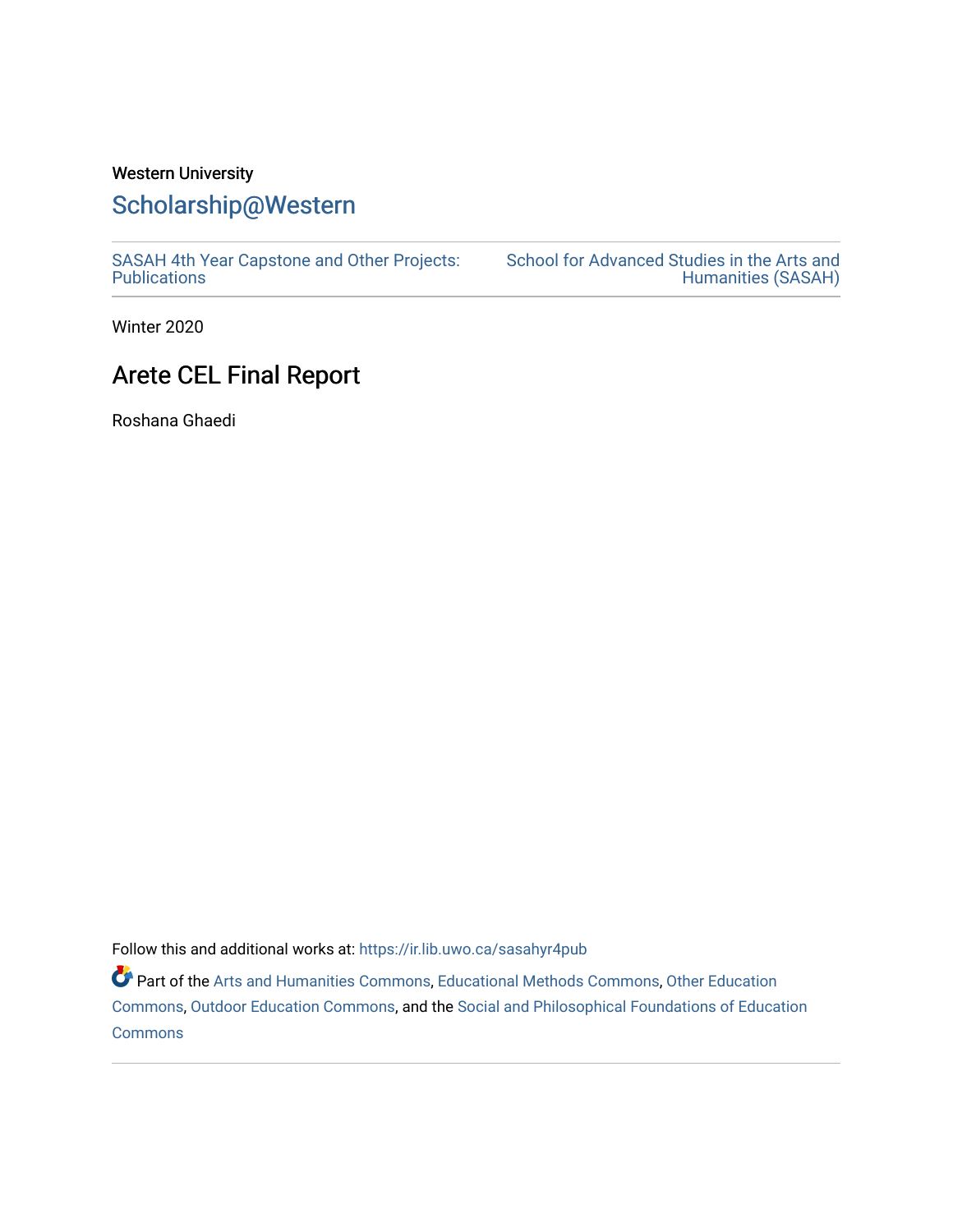# Western University [Scholarship@Western](https://ir.lib.uwo.ca/)

[SASAH 4th Year Capstone and Other Projects:](https://ir.lib.uwo.ca/sasahyr4pub)  **Publications** 

[School for Advanced Studies in the Arts and](https://ir.lib.uwo.ca/sasah)  [Humanities \(SASAH\)](https://ir.lib.uwo.ca/sasah) 

Winter 2020

# Arete CEL Final Report

Roshana Ghaedi

Follow this and additional works at: [https://ir.lib.uwo.ca/sasahyr4pub](https://ir.lib.uwo.ca/sasahyr4pub?utm_source=ir.lib.uwo.ca%2Fsasahyr4pub%2F18&utm_medium=PDF&utm_campaign=PDFCoverPages) 

Part of the [Arts and Humanities Commons,](http://network.bepress.com/hgg/discipline/438?utm_source=ir.lib.uwo.ca%2Fsasahyr4pub%2F18&utm_medium=PDF&utm_campaign=PDFCoverPages) [Educational Methods Commons,](http://network.bepress.com/hgg/discipline/1227?utm_source=ir.lib.uwo.ca%2Fsasahyr4pub%2F18&utm_medium=PDF&utm_campaign=PDFCoverPages) [Other Education](http://network.bepress.com/hgg/discipline/811?utm_source=ir.lib.uwo.ca%2Fsasahyr4pub%2F18&utm_medium=PDF&utm_campaign=PDFCoverPages) [Commons](http://network.bepress.com/hgg/discipline/811?utm_source=ir.lib.uwo.ca%2Fsasahyr4pub%2F18&utm_medium=PDF&utm_campaign=PDFCoverPages), [Outdoor Education Commons](http://network.bepress.com/hgg/discipline/1381?utm_source=ir.lib.uwo.ca%2Fsasahyr4pub%2F18&utm_medium=PDF&utm_campaign=PDFCoverPages), and the [Social and Philosophical Foundations of Education](http://network.bepress.com/hgg/discipline/799?utm_source=ir.lib.uwo.ca%2Fsasahyr4pub%2F18&utm_medium=PDF&utm_campaign=PDFCoverPages)  [Commons](http://network.bepress.com/hgg/discipline/799?utm_source=ir.lib.uwo.ca%2Fsasahyr4pub%2F18&utm_medium=PDF&utm_campaign=PDFCoverPages)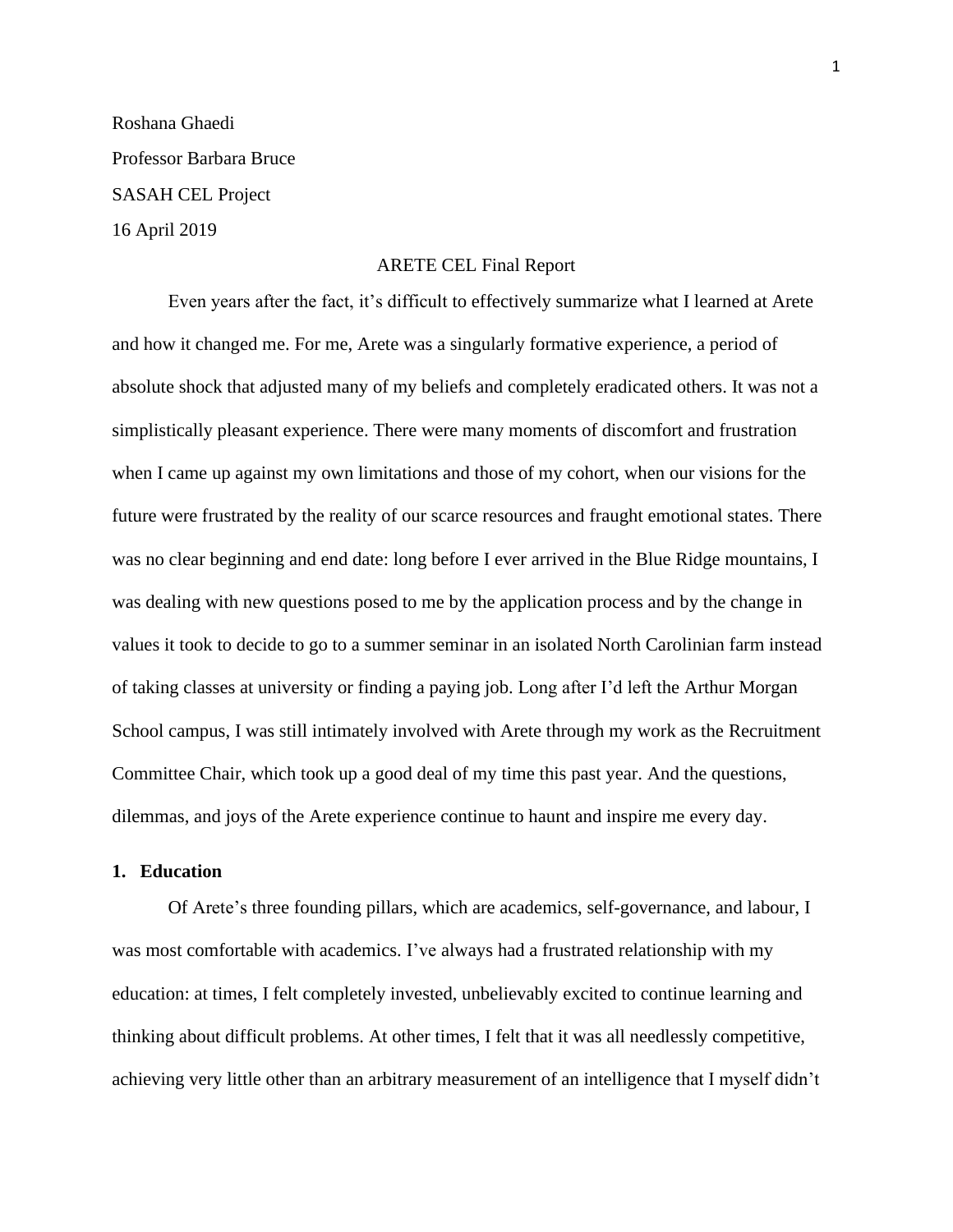Roshana Ghaedi Professor Barbara Bruce SASAH CEL Project 16 April 2019

#### ARETE CEL Final Report

Even years after the fact, it's difficult to effectively summarize what I learned at Arete and how it changed me. For me, Arete was a singularly formative experience, a period of absolute shock that adjusted many of my beliefs and completely eradicated others. It was not a simplistically pleasant experience. There were many moments of discomfort and frustration when I came up against my own limitations and those of my cohort, when our visions for the future were frustrated by the reality of our scarce resources and fraught emotional states. There was no clear beginning and end date: long before I ever arrived in the Blue Ridge mountains, I was dealing with new questions posed to me by the application process and by the change in values it took to decide to go to a summer seminar in an isolated North Carolinian farm instead of taking classes at university or finding a paying job. Long after I'd left the Arthur Morgan School campus, I was still intimately involved with Arete through my work as the Recruitment Committee Chair, which took up a good deal of my time this past year. And the questions, dilemmas, and joys of the Arete experience continue to haunt and inspire me every day.

# **1. Education**

Of Arete's three founding pillars, which are academics, self-governance, and labour, I was most comfortable with academics. I've always had a frustrated relationship with my education: at times, I felt completely invested, unbelievably excited to continue learning and thinking about difficult problems. At other times, I felt that it was all needlessly competitive, achieving very little other than an arbitrary measurement of an intelligence that I myself didn't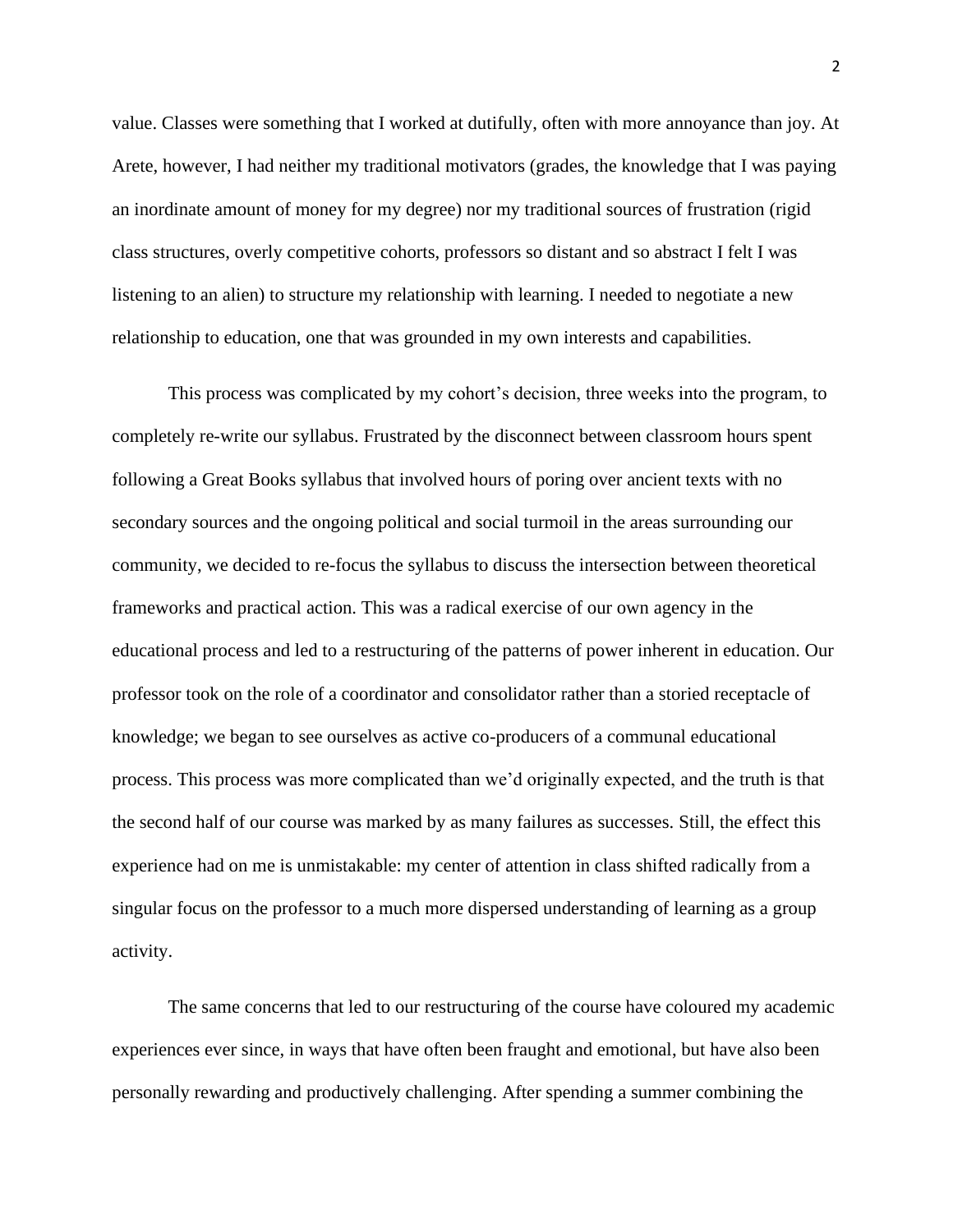value. Classes were something that I worked at dutifully, often with more annoyance than joy. At Arete, however, I had neither my traditional motivators (grades, the knowledge that I was paying an inordinate amount of money for my degree) nor my traditional sources of frustration (rigid class structures, overly competitive cohorts, professors so distant and so abstract I felt I was listening to an alien) to structure my relationship with learning. I needed to negotiate a new relationship to education, one that was grounded in my own interests and capabilities.

This process was complicated by my cohort's decision, three weeks into the program, to completely re-write our syllabus. Frustrated by the disconnect between classroom hours spent following a Great Books syllabus that involved hours of poring over ancient texts with no secondary sources and the ongoing political and social turmoil in the areas surrounding our community, we decided to re-focus the syllabus to discuss the intersection between theoretical frameworks and practical action. This was a radical exercise of our own agency in the educational process and led to a restructuring of the patterns of power inherent in education. Our professor took on the role of a coordinator and consolidator rather than a storied receptacle of knowledge; we began to see ourselves as active co-producers of a communal educational process. This process was more complicated than we'd originally expected, and the truth is that the second half of our course was marked by as many failures as successes. Still, the effect this experience had on me is unmistakable: my center of attention in class shifted radically from a singular focus on the professor to a much more dispersed understanding of learning as a group activity.

The same concerns that led to our restructuring of the course have coloured my academic experiences ever since, in ways that have often been fraught and emotional, but have also been personally rewarding and productively challenging. After spending a summer combining the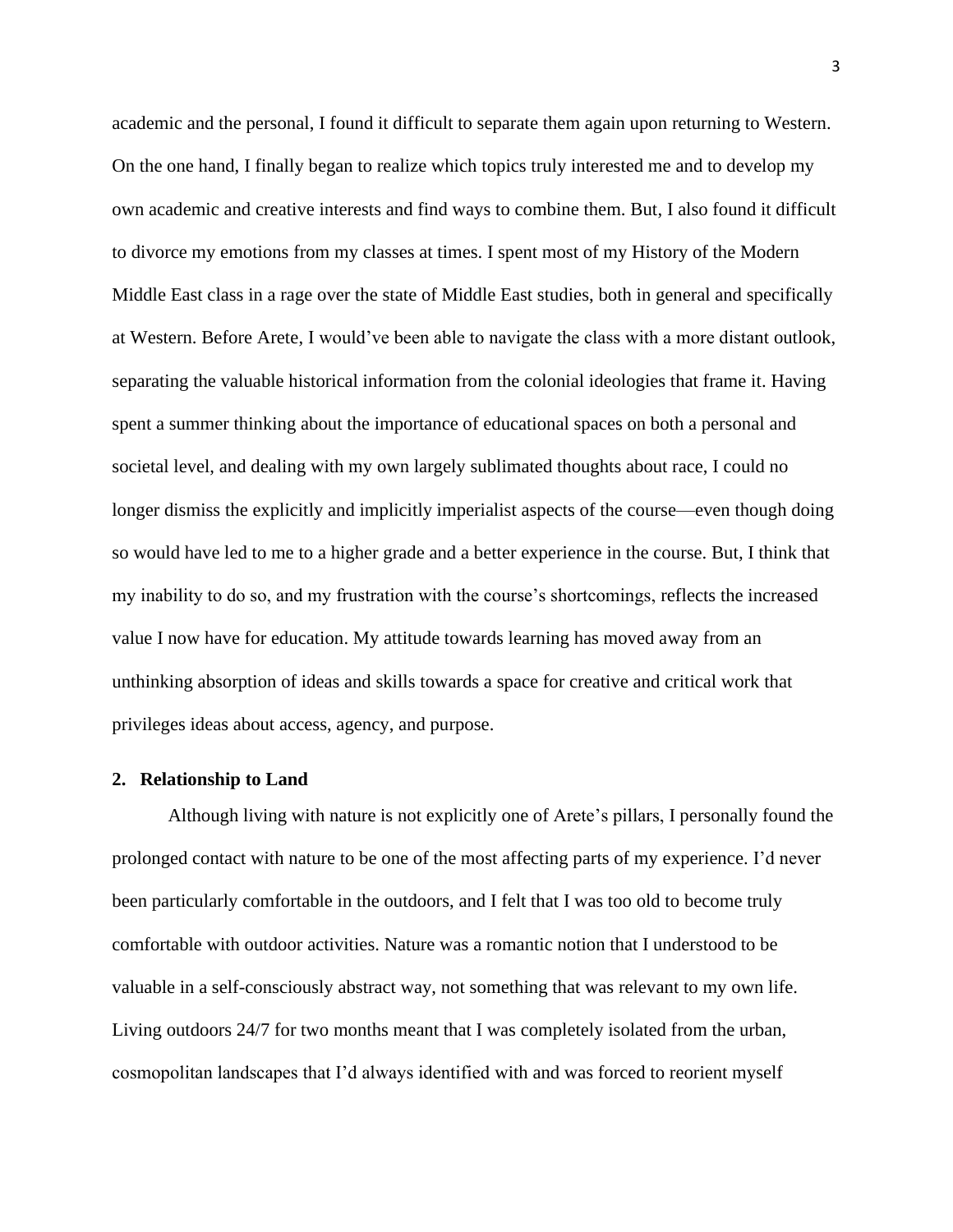academic and the personal, I found it difficult to separate them again upon returning to Western. On the one hand, I finally began to realize which topics truly interested me and to develop my own academic and creative interests and find ways to combine them. But, I also found it difficult to divorce my emotions from my classes at times. I spent most of my History of the Modern Middle East class in a rage over the state of Middle East studies, both in general and specifically at Western. Before Arete, I would've been able to navigate the class with a more distant outlook, separating the valuable historical information from the colonial ideologies that frame it. Having spent a summer thinking about the importance of educational spaces on both a personal and societal level, and dealing with my own largely sublimated thoughts about race, I could no longer dismiss the explicitly and implicitly imperialist aspects of the course—even though doing so would have led to me to a higher grade and a better experience in the course. But, I think that my inability to do so, and my frustration with the course's shortcomings, reflects the increased value I now have for education. My attitude towards learning has moved away from an unthinking absorption of ideas and skills towards a space for creative and critical work that privileges ideas about access, agency, and purpose.

### **2. Relationship to Land**

Although living with nature is not explicitly one of Arete's pillars, I personally found the prolonged contact with nature to be one of the most affecting parts of my experience. I'd never been particularly comfortable in the outdoors, and I felt that I was too old to become truly comfortable with outdoor activities. Nature was a romantic notion that I understood to be valuable in a self-consciously abstract way, not something that was relevant to my own life. Living outdoors 24/7 for two months meant that I was completely isolated from the urban, cosmopolitan landscapes that I'd always identified with and was forced to reorient myself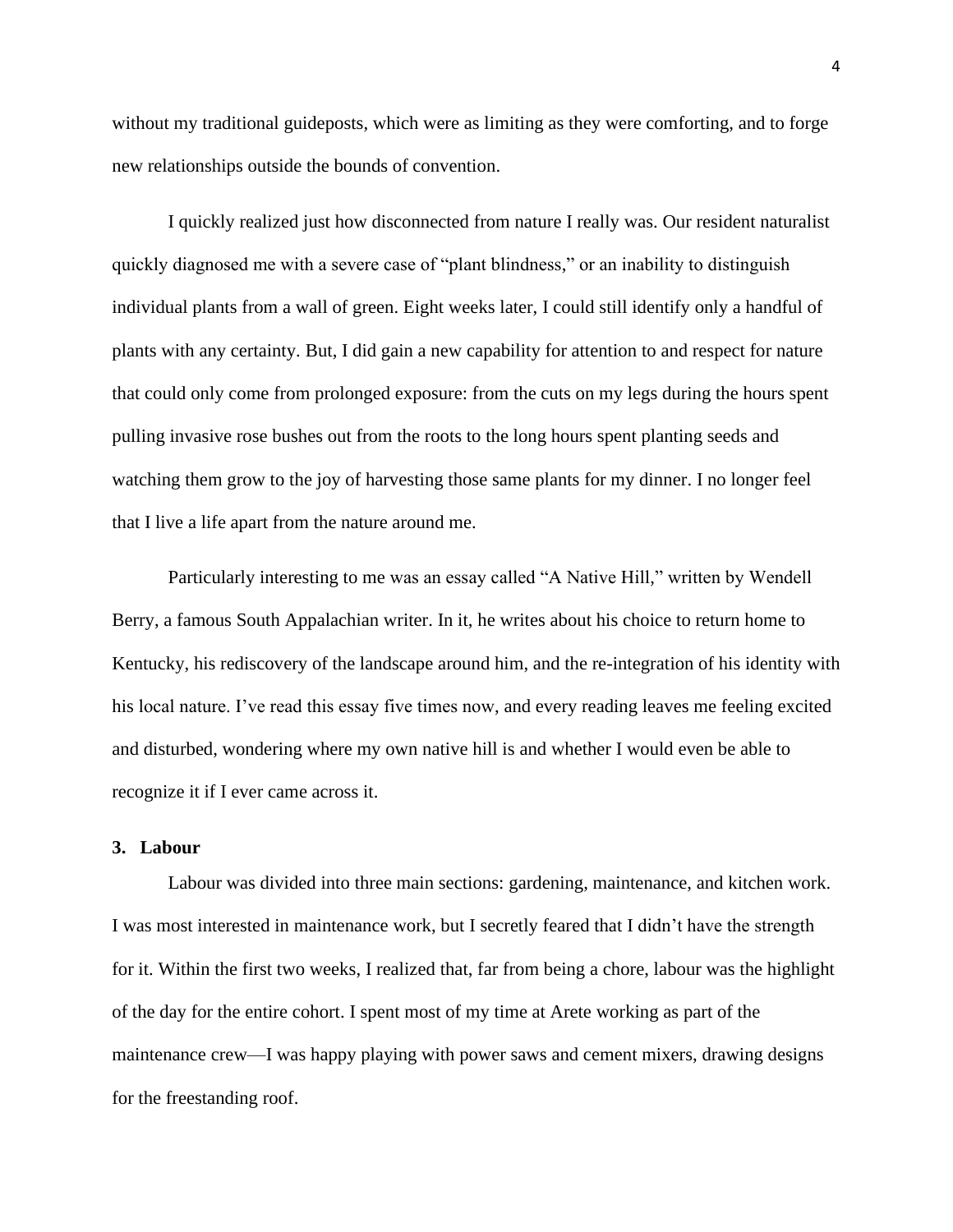without my traditional guideposts, which were as limiting as they were comforting, and to forge new relationships outside the bounds of convention.

I quickly realized just how disconnected from nature I really was. Our resident naturalist quickly diagnosed me with a severe case of "plant blindness," or an inability to distinguish individual plants from a wall of green. Eight weeks later, I could still identify only a handful of plants with any certainty. But, I did gain a new capability for attention to and respect for nature that could only come from prolonged exposure: from the cuts on my legs during the hours spent pulling invasive rose bushes out from the roots to the long hours spent planting seeds and watching them grow to the joy of harvesting those same plants for my dinner. I no longer feel that I live a life apart from the nature around me.

Particularly interesting to me was an essay called "A Native Hill," written by Wendell Berry, a famous South Appalachian writer. In it, he writes about his choice to return home to Kentucky, his rediscovery of the landscape around him, and the re-integration of his identity with his local nature. I've read this essay five times now, and every reading leaves me feeling excited and disturbed, wondering where my own native hill is and whether I would even be able to recognize it if I ever came across it.

# **3. Labour**

Labour was divided into three main sections: gardening, maintenance, and kitchen work. I was most interested in maintenance work, but I secretly feared that I didn't have the strength for it. Within the first two weeks, I realized that, far from being a chore, labour was the highlight of the day for the entire cohort. I spent most of my time at Arete working as part of the maintenance crew—I was happy playing with power saws and cement mixers, drawing designs for the freestanding roof.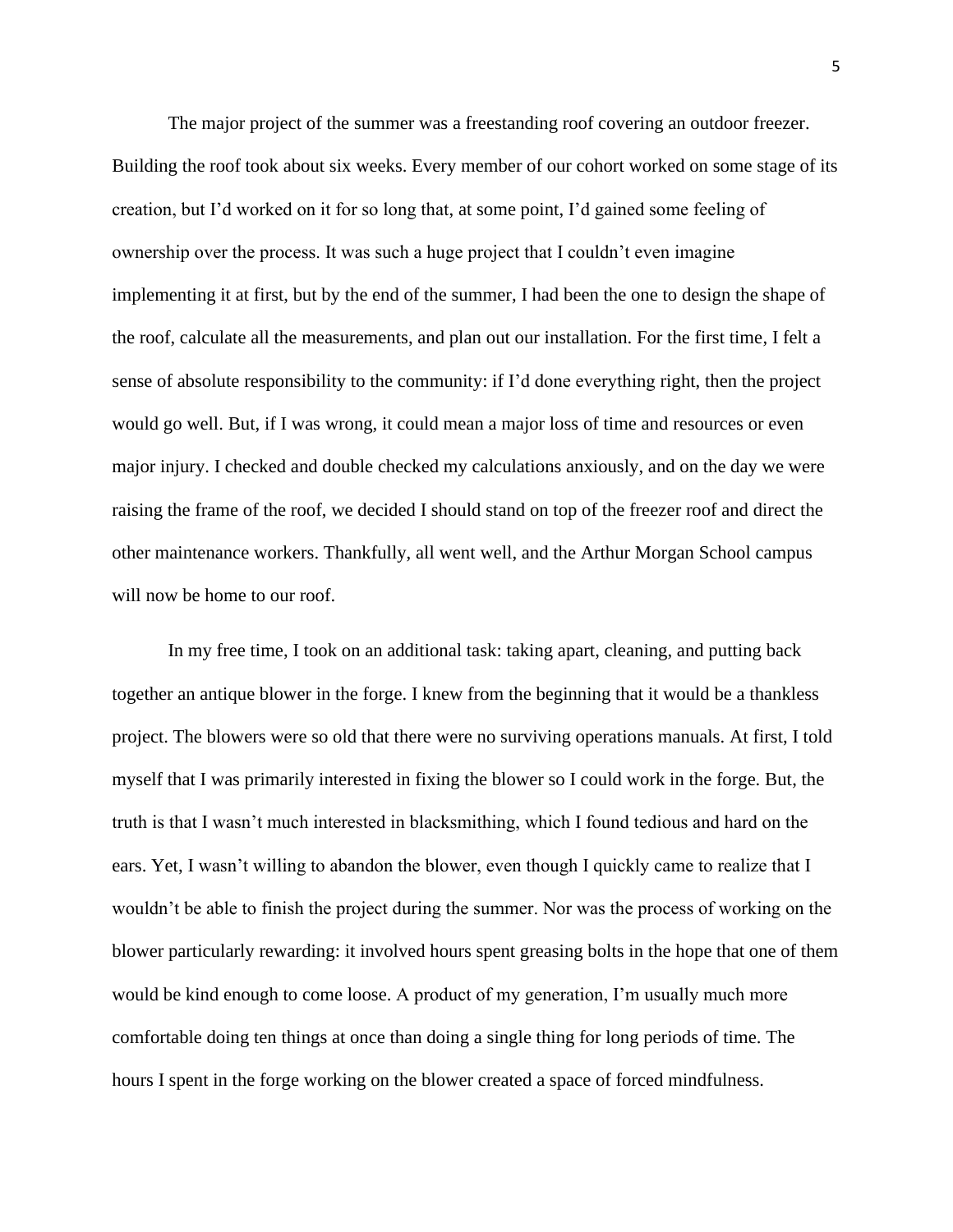The major project of the summer was a freestanding roof covering an outdoor freezer. Building the roof took about six weeks. Every member of our cohort worked on some stage of its creation, but I'd worked on it for so long that, at some point, I'd gained some feeling of ownership over the process. It was such a huge project that I couldn't even imagine implementing it at first, but by the end of the summer, I had been the one to design the shape of the roof, calculate all the measurements, and plan out our installation. For the first time, I felt a sense of absolute responsibility to the community: if I'd done everything right, then the project would go well. But, if I was wrong, it could mean a major loss of time and resources or even major injury. I checked and double checked my calculations anxiously, and on the day we were raising the frame of the roof, we decided I should stand on top of the freezer roof and direct the other maintenance workers. Thankfully, all went well, and the Arthur Morgan School campus will now be home to our roof.

In my free time, I took on an additional task: taking apart, cleaning, and putting back together an antique blower in the forge. I knew from the beginning that it would be a thankless project. The blowers were so old that there were no surviving operations manuals. At first, I told myself that I was primarily interested in fixing the blower so I could work in the forge. But, the truth is that I wasn't much interested in blacksmithing, which I found tedious and hard on the ears. Yet, I wasn't willing to abandon the blower, even though I quickly came to realize that I wouldn't be able to finish the project during the summer. Nor was the process of working on the blower particularly rewarding: it involved hours spent greasing bolts in the hope that one of them would be kind enough to come loose. A product of my generation, I'm usually much more comfortable doing ten things at once than doing a single thing for long periods of time. The hours I spent in the forge working on the blower created a space of forced mindfulness.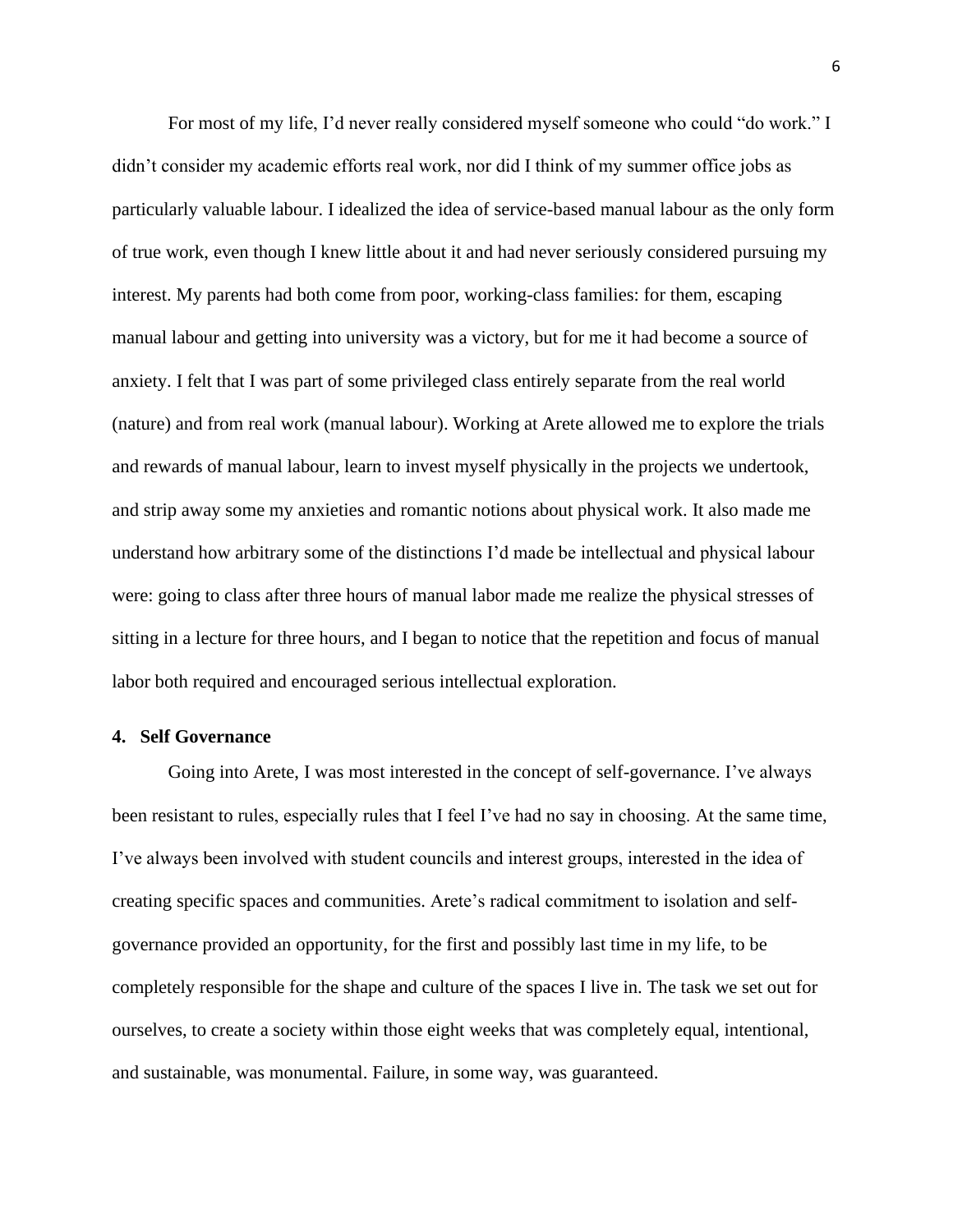For most of my life, I'd never really considered myself someone who could "do work." I didn't consider my academic efforts real work, nor did I think of my summer office jobs as particularly valuable labour. I idealized the idea of service-based manual labour as the only form of true work, even though I knew little about it and had never seriously considered pursuing my interest. My parents had both come from poor, working-class families: for them, escaping manual labour and getting into university was a victory, but for me it had become a source of anxiety. I felt that I was part of some privileged class entirely separate from the real world (nature) and from real work (manual labour). Working at Arete allowed me to explore the trials and rewards of manual labour, learn to invest myself physically in the projects we undertook, and strip away some my anxieties and romantic notions about physical work. It also made me understand how arbitrary some of the distinctions I'd made be intellectual and physical labour were: going to class after three hours of manual labor made me realize the physical stresses of sitting in a lecture for three hours, and I began to notice that the repetition and focus of manual labor both required and encouraged serious intellectual exploration.

## **4. Self Governance**

Going into Arete, I was most interested in the concept of self-governance. I've always been resistant to rules, especially rules that I feel I've had no say in choosing. At the same time, I've always been involved with student councils and interest groups, interested in the idea of creating specific spaces and communities. Arete's radical commitment to isolation and selfgovernance provided an opportunity, for the first and possibly last time in my life, to be completely responsible for the shape and culture of the spaces I live in. The task we set out for ourselves, to create a society within those eight weeks that was completely equal, intentional, and sustainable, was monumental. Failure, in some way, was guaranteed.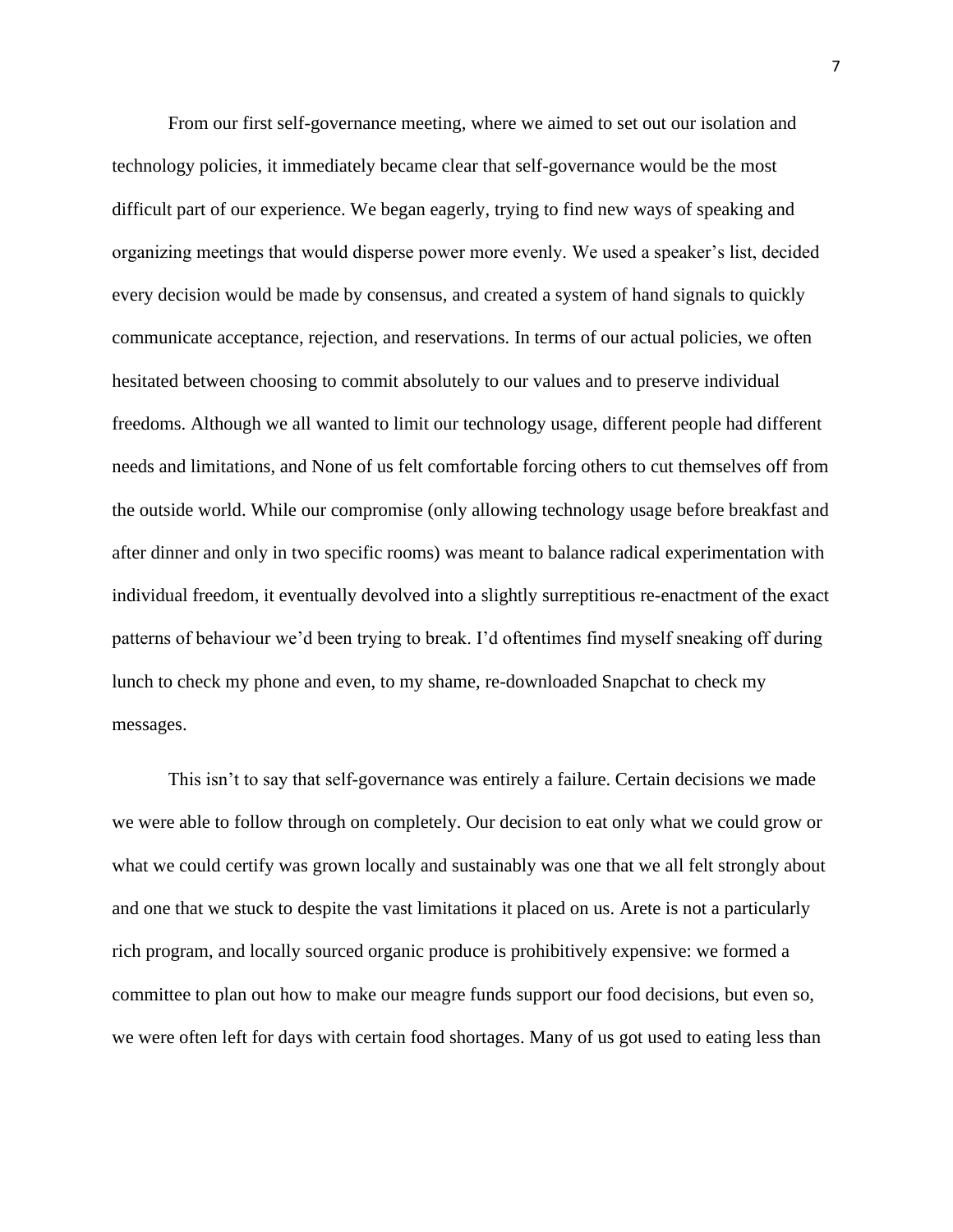From our first self-governance meeting, where we aimed to set out our isolation and technology policies, it immediately became clear that self-governance would be the most difficult part of our experience. We began eagerly, trying to find new ways of speaking and organizing meetings that would disperse power more evenly. We used a speaker's list, decided every decision would be made by consensus, and created a system of hand signals to quickly communicate acceptance, rejection, and reservations. In terms of our actual policies, we often hesitated between choosing to commit absolutely to our values and to preserve individual freedoms. Although we all wanted to limit our technology usage, different people had different needs and limitations, and None of us felt comfortable forcing others to cut themselves off from the outside world. While our compromise (only allowing technology usage before breakfast and after dinner and only in two specific rooms) was meant to balance radical experimentation with individual freedom, it eventually devolved into a slightly surreptitious re-enactment of the exact patterns of behaviour we'd been trying to break. I'd oftentimes find myself sneaking off during lunch to check my phone and even, to my shame, re-downloaded Snapchat to check my messages.

This isn't to say that self-governance was entirely a failure. Certain decisions we made we were able to follow through on completely. Our decision to eat only what we could grow or what we could certify was grown locally and sustainably was one that we all felt strongly about and one that we stuck to despite the vast limitations it placed on us. Arete is not a particularly rich program, and locally sourced organic produce is prohibitively expensive: we formed a committee to plan out how to make our meagre funds support our food decisions, but even so, we were often left for days with certain food shortages. Many of us got used to eating less than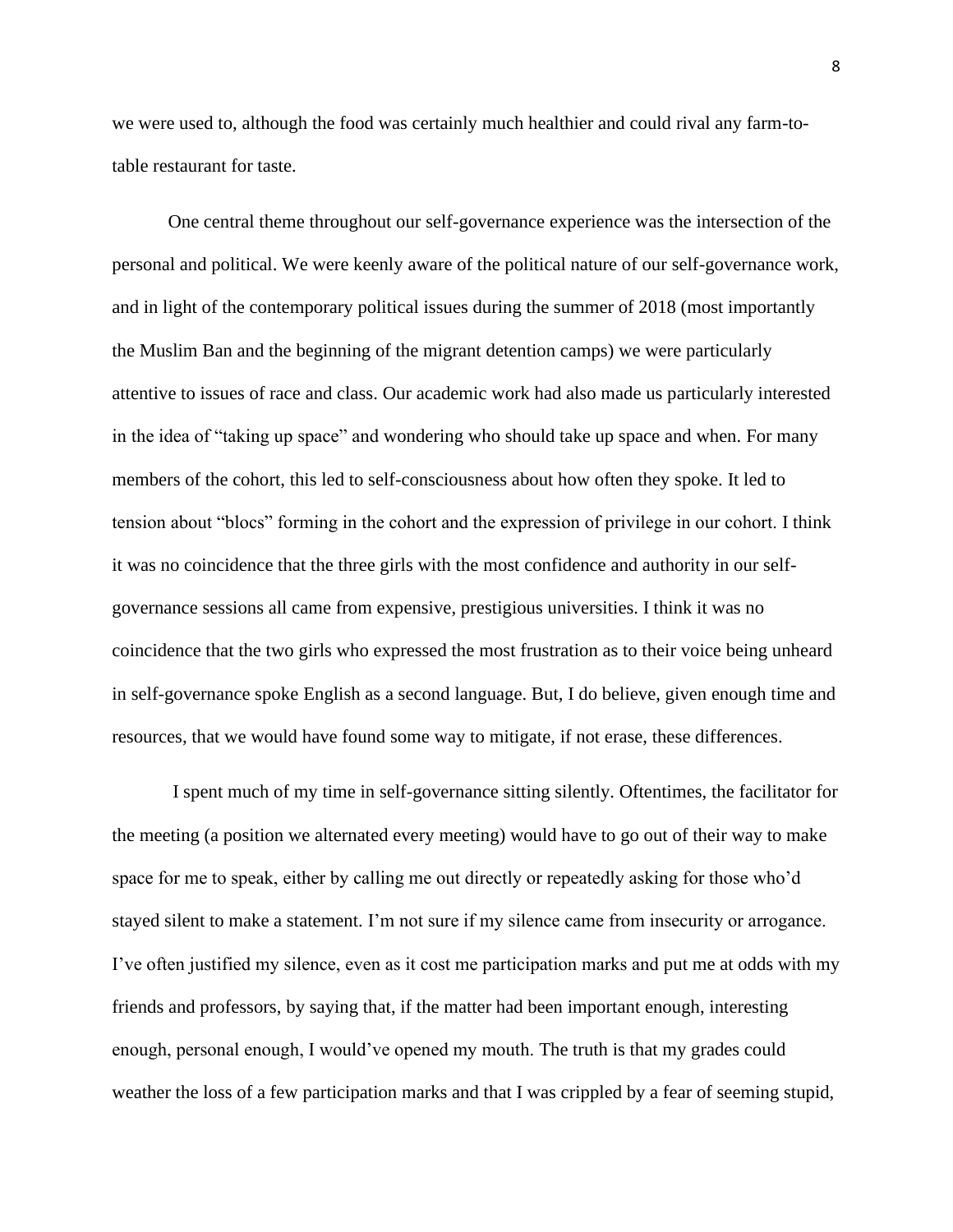we were used to, although the food was certainly much healthier and could rival any farm-totable restaurant for taste.

One central theme throughout our self-governance experience was the intersection of the personal and political. We were keenly aware of the political nature of our self-governance work, and in light of the contemporary political issues during the summer of 2018 (most importantly the Muslim Ban and the beginning of the migrant detention camps) we were particularly attentive to issues of race and class. Our academic work had also made us particularly interested in the idea of "taking up space" and wondering who should take up space and when. For many members of the cohort, this led to self-consciousness about how often they spoke. It led to tension about "blocs" forming in the cohort and the expression of privilege in our cohort. I think it was no coincidence that the three girls with the most confidence and authority in our selfgovernance sessions all came from expensive, prestigious universities. I think it was no coincidence that the two girls who expressed the most frustration as to their voice being unheard in self-governance spoke English as a second language. But, I do believe, given enough time and resources, that we would have found some way to mitigate, if not erase, these differences.

I spent much of my time in self-governance sitting silently. Oftentimes, the facilitator for the meeting (a position we alternated every meeting) would have to go out of their way to make space for me to speak, either by calling me out directly or repeatedly asking for those who'd stayed silent to make a statement. I'm not sure if my silence came from insecurity or arrogance. I've often justified my silence, even as it cost me participation marks and put me at odds with my friends and professors, by saying that, if the matter had been important enough, interesting enough, personal enough, I would've opened my mouth. The truth is that my grades could weather the loss of a few participation marks and that I was crippled by a fear of seeming stupid,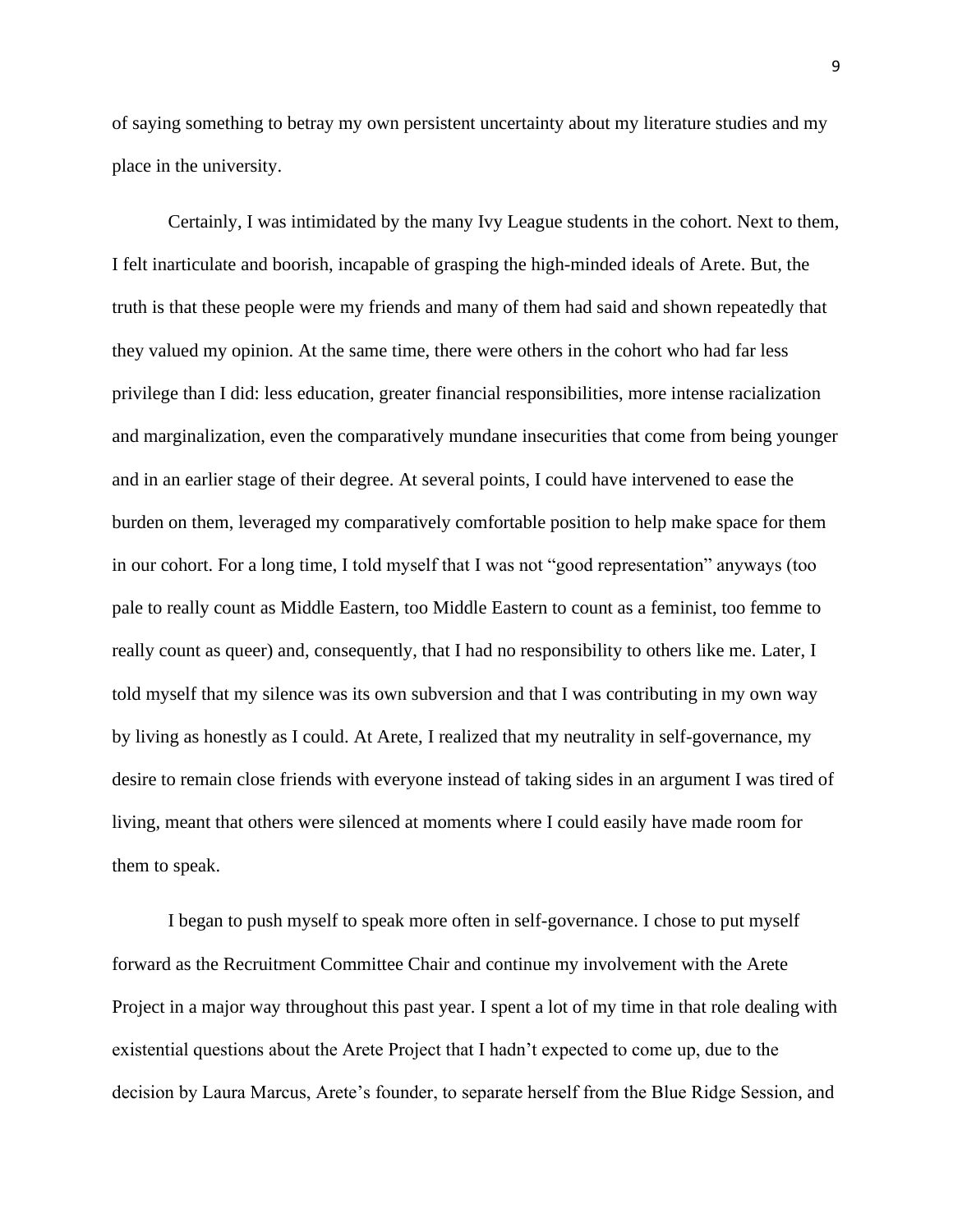of saying something to betray my own persistent uncertainty about my literature studies and my place in the university.

Certainly, I was intimidated by the many Ivy League students in the cohort. Next to them, I felt inarticulate and boorish, incapable of grasping the high-minded ideals of Arete. But, the truth is that these people were my friends and many of them had said and shown repeatedly that they valued my opinion. At the same time, there were others in the cohort who had far less privilege than I did: less education, greater financial responsibilities, more intense racialization and marginalization, even the comparatively mundane insecurities that come from being younger and in an earlier stage of their degree. At several points, I could have intervened to ease the burden on them, leveraged my comparatively comfortable position to help make space for them in our cohort. For a long time, I told myself that I was not "good representation" anyways (too pale to really count as Middle Eastern, too Middle Eastern to count as a feminist, too femme to really count as queer) and, consequently, that I had no responsibility to others like me. Later, I told myself that my silence was its own subversion and that I was contributing in my own way by living as honestly as I could. At Arete, I realized that my neutrality in self-governance, my desire to remain close friends with everyone instead of taking sides in an argument I was tired of living, meant that others were silenced at moments where I could easily have made room for them to speak.

I began to push myself to speak more often in self-governance. I chose to put myself forward as the Recruitment Committee Chair and continue my involvement with the Arete Project in a major way throughout this past year. I spent a lot of my time in that role dealing with existential questions about the Arete Project that I hadn't expected to come up, due to the decision by Laura Marcus, Arete's founder, to separate herself from the Blue Ridge Session, and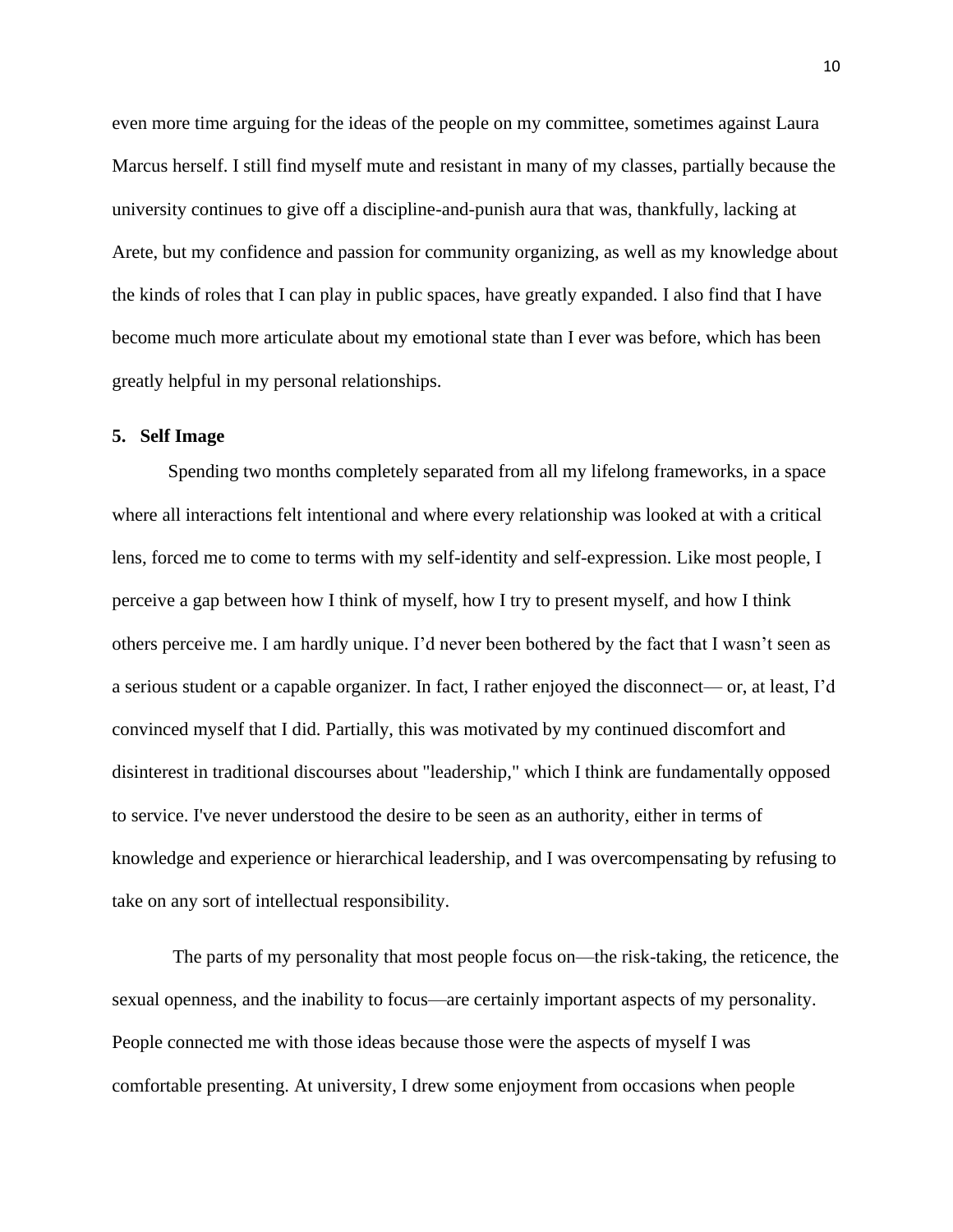even more time arguing for the ideas of the people on my committee, sometimes against Laura Marcus herself. I still find myself mute and resistant in many of my classes, partially because the university continues to give off a discipline-and-punish aura that was, thankfully, lacking at Arete, but my confidence and passion for community organizing, as well as my knowledge about the kinds of roles that I can play in public spaces, have greatly expanded. I also find that I have become much more articulate about my emotional state than I ever was before, which has been greatly helpful in my personal relationships.

## **5. Self Image**

Spending two months completely separated from all my lifelong frameworks, in a space where all interactions felt intentional and where every relationship was looked at with a critical lens, forced me to come to terms with my self-identity and self-expression. Like most people, I perceive a gap between how I think of myself, how I try to present myself, and how I think others perceive me. I am hardly unique. I'd never been bothered by the fact that I wasn't seen as a serious student or a capable organizer. In fact, I rather enjoyed the disconnect— or, at least, I'd convinced myself that I did. Partially, this was motivated by my continued discomfort and disinterest in traditional discourses about "leadership," which I think are fundamentally opposed to service. I've never understood the desire to be seen as an authority, either in terms of knowledge and experience or hierarchical leadership, and I was overcompensating by refusing to take on any sort of intellectual responsibility.

The parts of my personality that most people focus on—the risk-taking, the reticence, the sexual openness, and the inability to focus—are certainly important aspects of my personality. People connected me with those ideas because those were the aspects of myself I was comfortable presenting. At university, I drew some enjoyment from occasions when people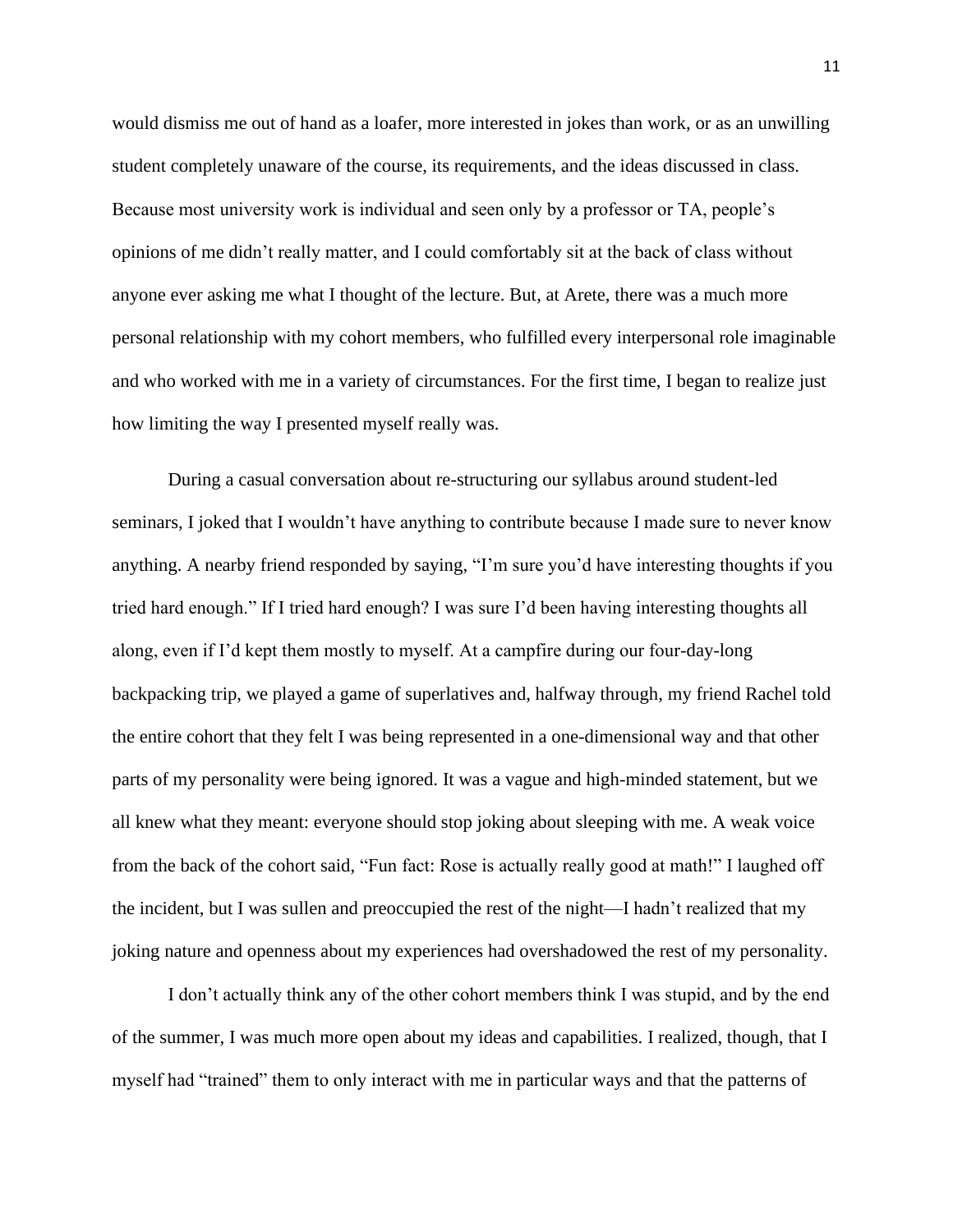would dismiss me out of hand as a loafer, more interested in jokes than work, or as an unwilling student completely unaware of the course, its requirements, and the ideas discussed in class. Because most university work is individual and seen only by a professor or TA, people's opinions of me didn't really matter, and I could comfortably sit at the back of class without anyone ever asking me what I thought of the lecture. But, at Arete, there was a much more personal relationship with my cohort members, who fulfilled every interpersonal role imaginable and who worked with me in a variety of circumstances. For the first time, I began to realize just how limiting the way I presented myself really was.

During a casual conversation about re-structuring our syllabus around student-led seminars, I joked that I wouldn't have anything to contribute because I made sure to never know anything. A nearby friend responded by saying, "I'm sure you'd have interesting thoughts if you tried hard enough." If I tried hard enough? I was sure I'd been having interesting thoughts all along, even if I'd kept them mostly to myself. At a campfire during our four-day-long backpacking trip, we played a game of superlatives and, halfway through, my friend Rachel told the entire cohort that they felt I was being represented in a one-dimensional way and that other parts of my personality were being ignored. It was a vague and high-minded statement, but we all knew what they meant: everyone should stop joking about sleeping with me. A weak voice from the back of the cohort said, "Fun fact: Rose is actually really good at math!" I laughed off the incident, but I was sullen and preoccupied the rest of the night—I hadn't realized that my joking nature and openness about my experiences had overshadowed the rest of my personality.

I don't actually think any of the other cohort members think I was stupid, and by the end of the summer, I was much more open about my ideas and capabilities. I realized, though, that I myself had "trained" them to only interact with me in particular ways and that the patterns of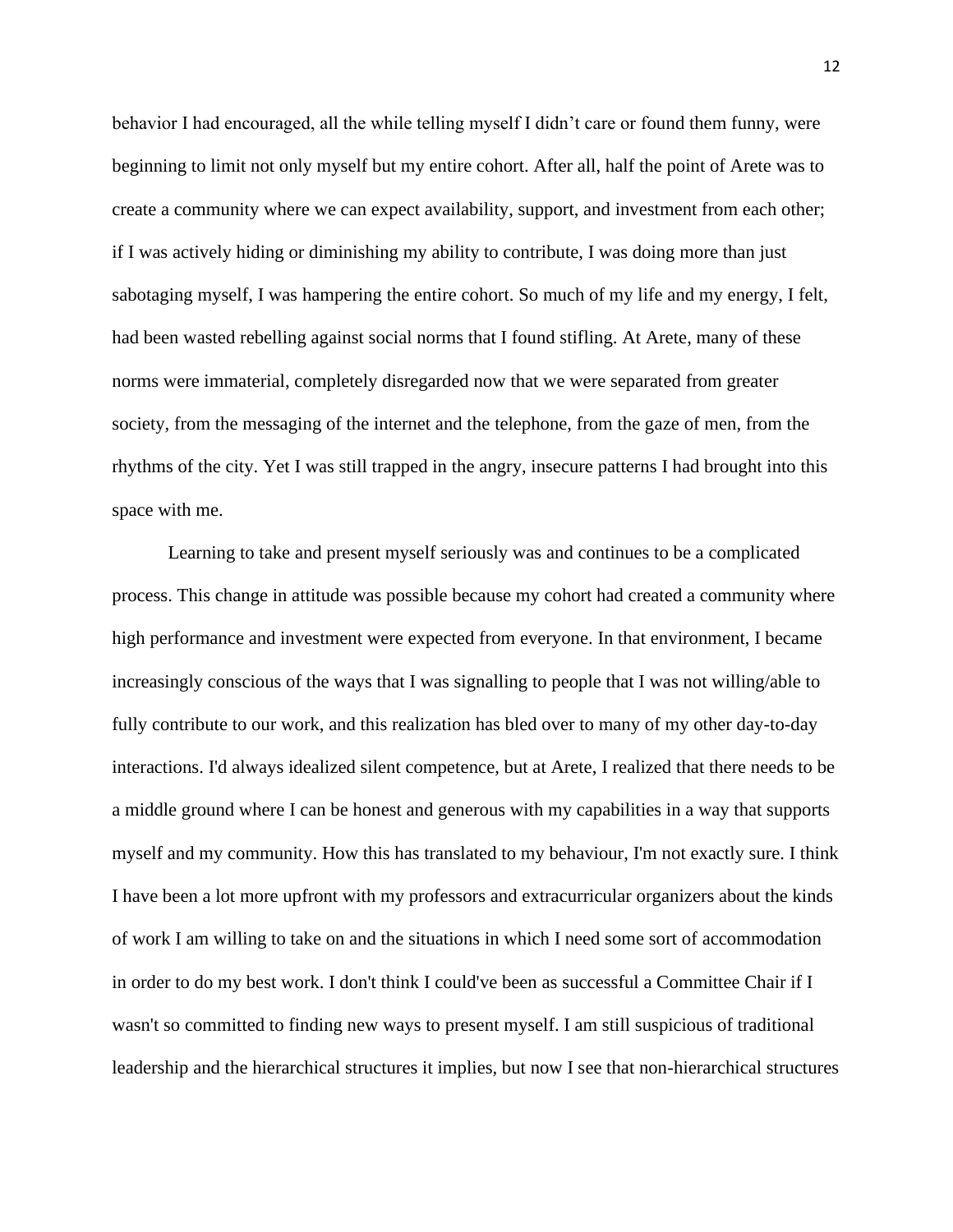behavior I had encouraged, all the while telling myself I didn't care or found them funny, were beginning to limit not only myself but my entire cohort. After all, half the point of Arete was to create a community where we can expect availability, support, and investment from each other; if I was actively hiding or diminishing my ability to contribute, I was doing more than just sabotaging myself, I was hampering the entire cohort. So much of my life and my energy, I felt, had been wasted rebelling against social norms that I found stifling. At Arete, many of these norms were immaterial, completely disregarded now that we were separated from greater society, from the messaging of the internet and the telephone, from the gaze of men, from the rhythms of the city. Yet I was still trapped in the angry, insecure patterns I had brought into this space with me.

Learning to take and present myself seriously was and continues to be a complicated process. This change in attitude was possible because my cohort had created a community where high performance and investment were expected from everyone. In that environment, I became increasingly conscious of the ways that I was signalling to people that I was not willing/able to fully contribute to our work, and this realization has bled over to many of my other day-to-day interactions. I'd always idealized silent competence, but at Arete, I realized that there needs to be a middle ground where I can be honest and generous with my capabilities in a way that supports myself and my community. How this has translated to my behaviour, I'm not exactly sure. I think I have been a lot more upfront with my professors and extracurricular organizers about the kinds of work I am willing to take on and the situations in which I need some sort of accommodation in order to do my best work. I don't think I could've been as successful a Committee Chair if I wasn't so committed to finding new ways to present myself. I am still suspicious of traditional leadership and the hierarchical structures it implies, but now I see that non-hierarchical structures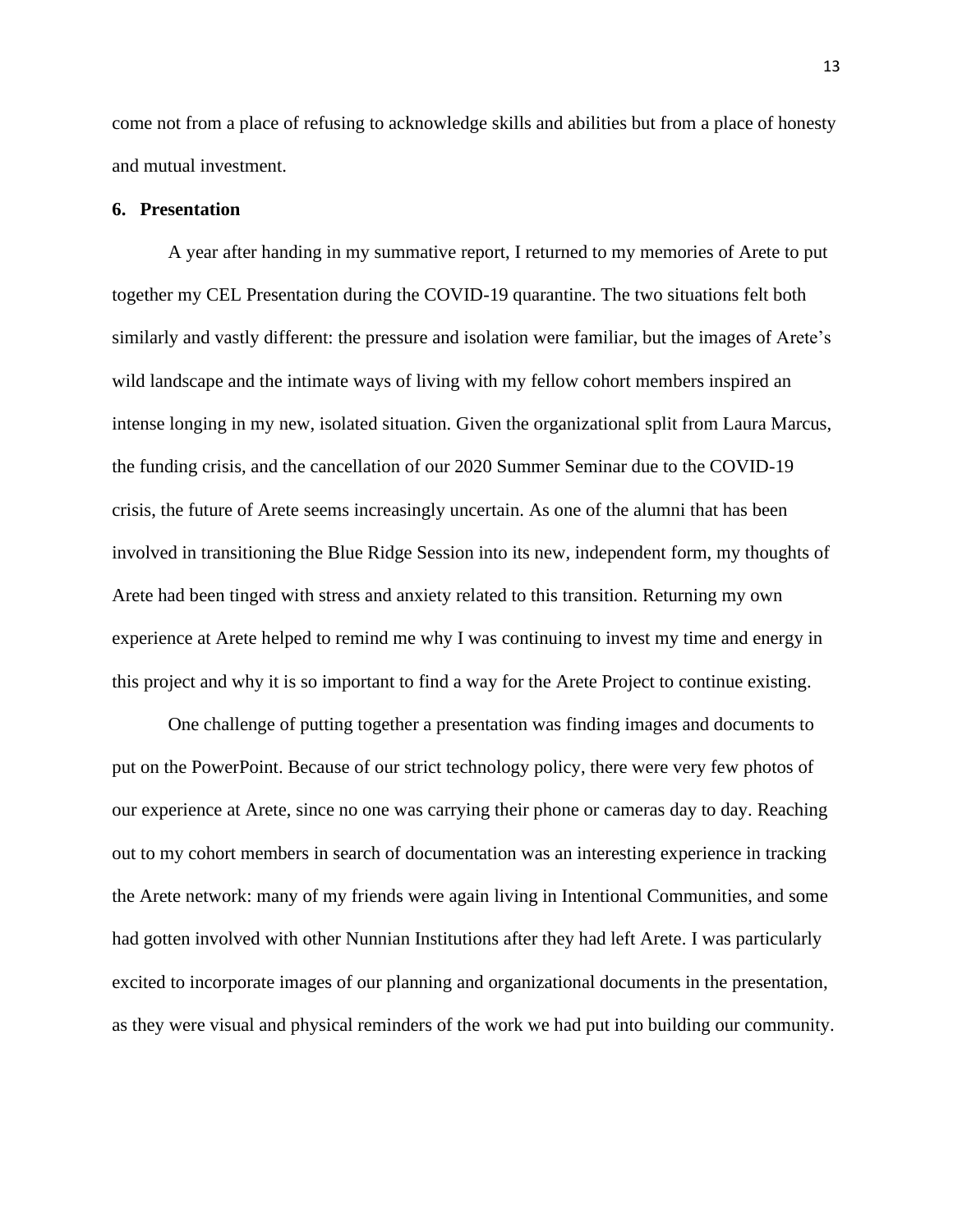come not from a place of refusing to acknowledge skills and abilities but from a place of honesty and mutual investment.

### **6. Presentation**

A year after handing in my summative report, I returned to my memories of Arete to put together my CEL Presentation during the COVID-19 quarantine. The two situations felt both similarly and vastly different: the pressure and isolation were familiar, but the images of Arete's wild landscape and the intimate ways of living with my fellow cohort members inspired an intense longing in my new, isolated situation. Given the organizational split from Laura Marcus, the funding crisis, and the cancellation of our 2020 Summer Seminar due to the COVID-19 crisis, the future of Arete seems increasingly uncertain. As one of the alumni that has been involved in transitioning the Blue Ridge Session into its new, independent form, my thoughts of Arete had been tinged with stress and anxiety related to this transition. Returning my own experience at Arete helped to remind me why I was continuing to invest my time and energy in this project and why it is so important to find a way for the Arete Project to continue existing.

One challenge of putting together a presentation was finding images and documents to put on the PowerPoint. Because of our strict technology policy, there were very few photos of our experience at Arete, since no one was carrying their phone or cameras day to day. Reaching out to my cohort members in search of documentation was an interesting experience in tracking the Arete network: many of my friends were again living in Intentional Communities, and some had gotten involved with other Nunnian Institutions after they had left Arete. I was particularly excited to incorporate images of our planning and organizational documents in the presentation, as they were visual and physical reminders of the work we had put into building our community.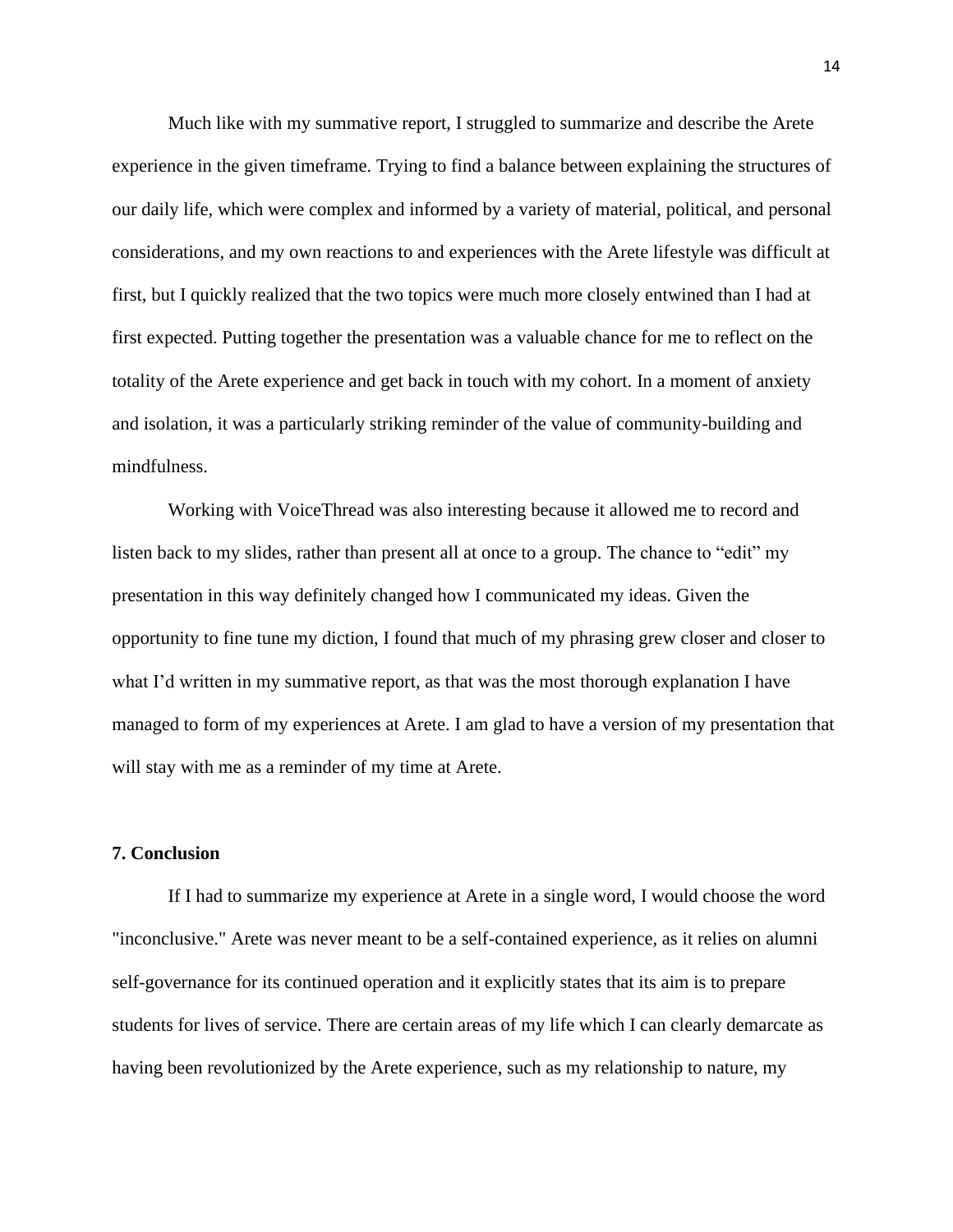Much like with my summative report, I struggled to summarize and describe the Arete experience in the given timeframe. Trying to find a balance between explaining the structures of our daily life, which were complex and informed by a variety of material, political, and personal considerations, and my own reactions to and experiences with the Arete lifestyle was difficult at first, but I quickly realized that the two topics were much more closely entwined than I had at first expected. Putting together the presentation was a valuable chance for me to reflect on the totality of the Arete experience and get back in touch with my cohort. In a moment of anxiety and isolation, it was a particularly striking reminder of the value of community-building and mindfulness.

Working with VoiceThread was also interesting because it allowed me to record and listen back to my slides, rather than present all at once to a group. The chance to "edit" my presentation in this way definitely changed how I communicated my ideas. Given the opportunity to fine tune my diction, I found that much of my phrasing grew closer and closer to what I'd written in my summative report, as that was the most thorough explanation I have managed to form of my experiences at Arete. I am glad to have a version of my presentation that will stay with me as a reminder of my time at Arete.

## **7. Conclusion**

If I had to summarize my experience at Arete in a single word, I would choose the word "inconclusive." Arete was never meant to be a self-contained experience, as it relies on alumni self-governance for its continued operation and it explicitly states that its aim is to prepare students for lives of service. There are certain areas of my life which I can clearly demarcate as having been revolutionized by the Arete experience, such as my relationship to nature, my